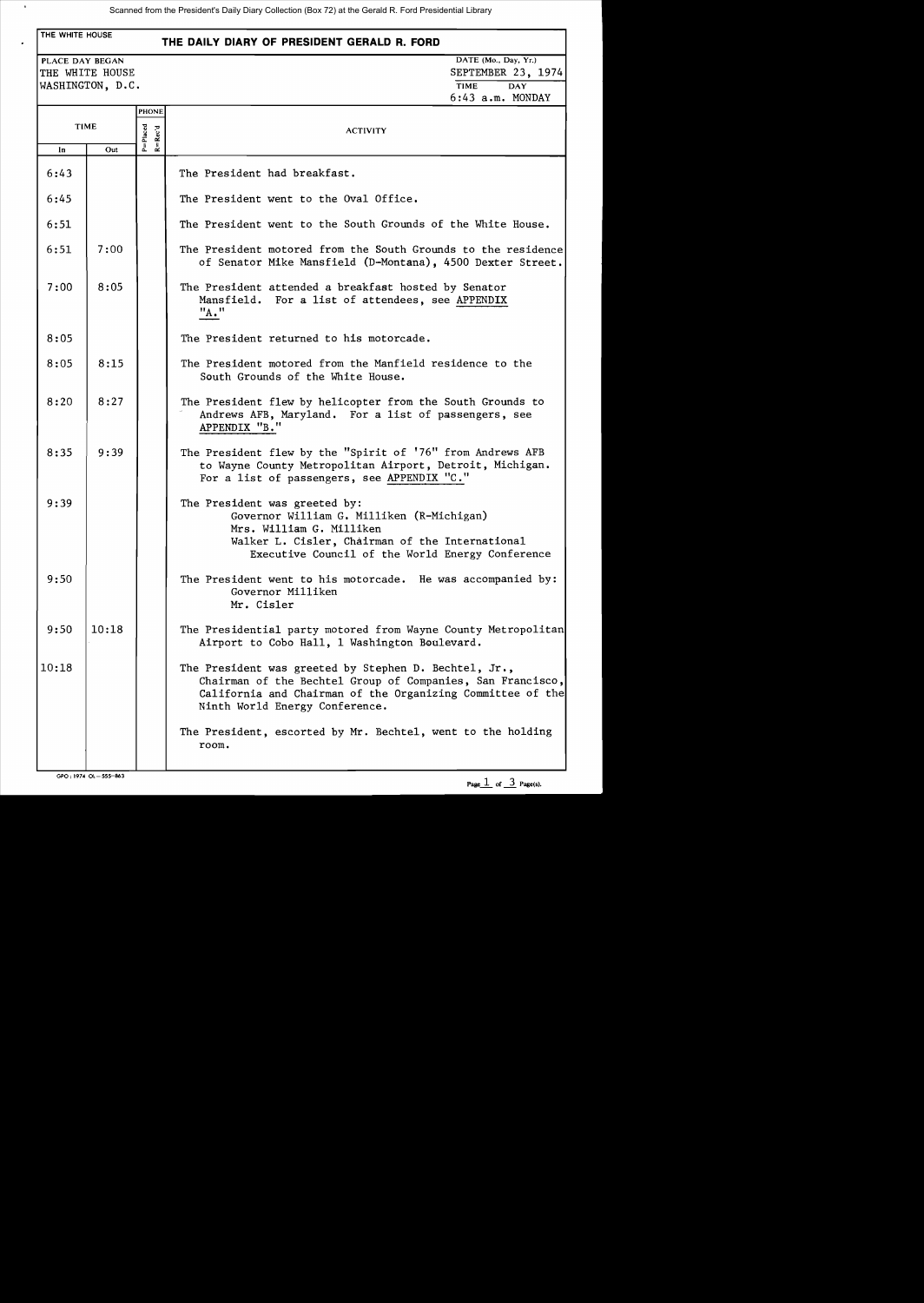# THE WHITE HOUSE **THE DAILY DIARY OF PRESIDENT GERALD R. FORD**  PLACE DAY BEGAN DATE (Mo., Day, Yr.) THE WHITE HOUSE SEPTEMBER 23, 1974 WASHINGTON, D.C. TIME DAY PHONE - TIME P=Placed  $\begin{array}{|c|c|c|}\n\hline\n\text{In} & \text{Out} & \stackrel{\overline{\alpha}}{\mathbb{L}}\n\end{array}$ 6:43 6:45 6:51  $6:51$  7:00  $7:00$  8:05 8:05  $8:05$  8:15  $8:20$  8:27  $8:35$  9:39 9:39 9:50  $9:50$  | 10:18 10:18 6:43 a.m. MONDAY ACTIVITY The President had breakfast. The President went to the Oval Office. The President went to the South Grounds of the White House. The President motored from the South Grounds to the residence of Senator Mike Mansfield (D-Montana) , 4500 Dexter Street. The President attended a breakfast hosted by Senator Mansfield. For a list of attendees, see APPENDIX "A. " The President returned to his motorcade. The President motored from the Manfield residence to the South Grounds of the White House. The President flew by helicopter from the South Grounds to Andrews AFB, Maryland. For a list of passengers, see APPENDIX "B." The President flew by the "Spirit of '76" from Andrews AFB to Wayne County Metropolitan Airport, Detroit, Michigan. For a list of passengers, see APPENDIX "C." The President was greeted by: Governor William G. Milliken (R-Michigan) Mrs. William G. Milliken Walker L. Cisler, Chairman of the International Executive Council of the World Energy Conference The President went to his motorcade. He was accompanied by: Governor Milliken Mr. Cisler The Presidential party motored from Wayne County Metropolitan Airport to Cobo Hall, 1 Washington Boulevard. The President was greeted by Stephen D. Bechtel, Jr., Chairman of the Bechtel Group of Companies, San Francisco, California and Chairman of the Organizing Committee of the Ninth World Energy Conference. The President, escorted by Mr. Bechtel, went to the holding room.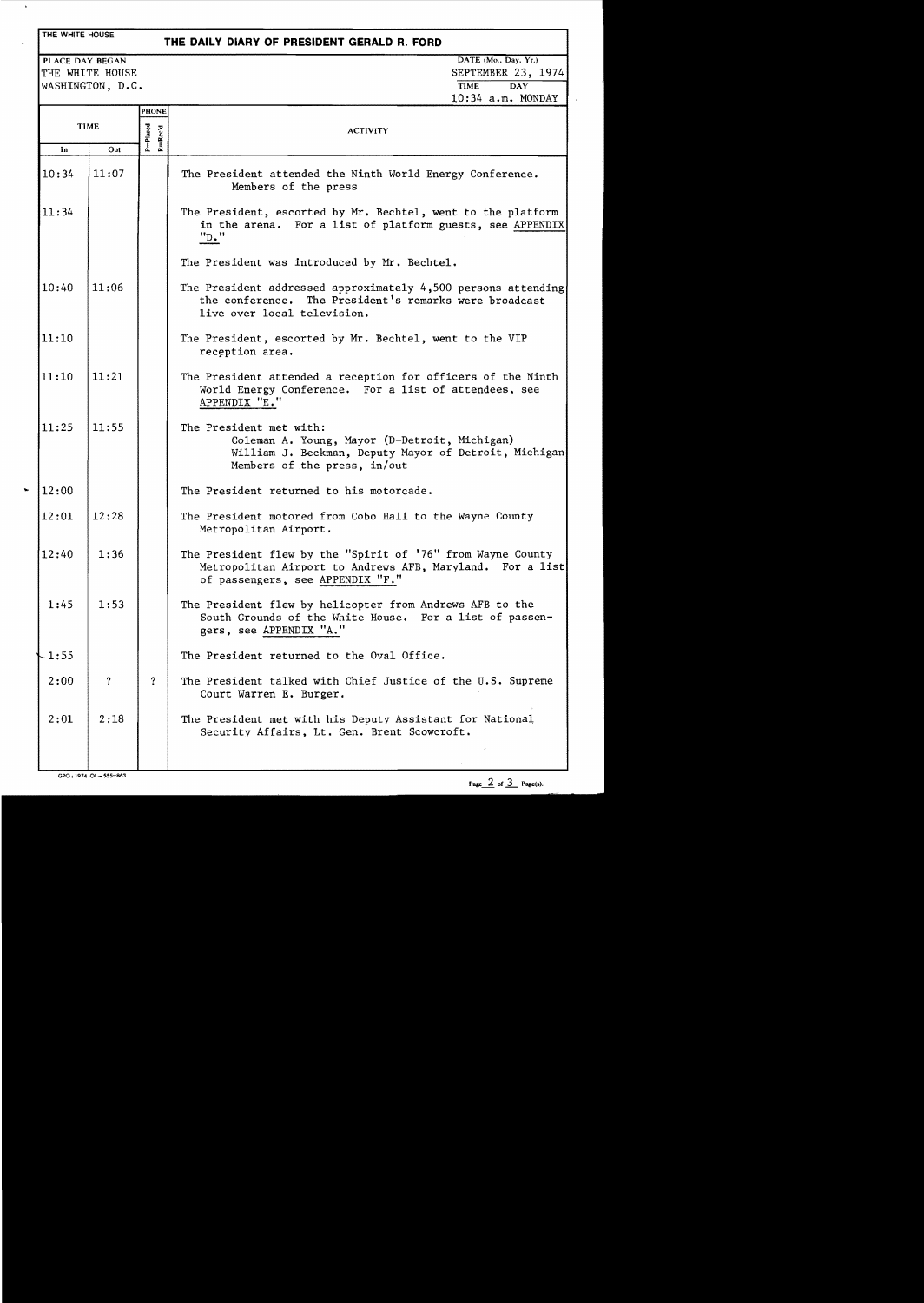# THE WHITE HOUSE

 $\ddot{\phantom{a}}$ 

# **THE DAILY DIARY OF PRESIDENT GERALD R. FORD**

WASHINGTON, D.C.

PLACE DAY BEGAN DATE (Mo., Day, Yr.) THE WHITE HOUSE SEPTEMBER 23, 1974 10:34 a.m. MONDAY

|             |       | <b>PHONE</b>            |                                                                                                                                                                   |
|-------------|-------|-------------------------|-------------------------------------------------------------------------------------------------------------------------------------------------------------------|
| <b>TIME</b> |       | P=Placed<br>$R = Rec'd$ | <b>ACTIVITY</b>                                                                                                                                                   |
| In          | Out   |                         |                                                                                                                                                                   |
| 10:34       | 11:07 |                         | The President attended the Ninth World Energy Conference.<br>Members of the press                                                                                 |
| 11:34       |       |                         | The President, escorted by Mr. Bechtel, went to the platform<br>in the arena. For a list of platform guests, see APPENDIX<br>"D."                                 |
|             |       |                         | The President was introduced by Mr. Bechtel.                                                                                                                      |
| 10:40       | 11:06 |                         | The President addressed approximately $4,500$ persons attending<br>the conference. The President's remarks were broadcast<br>live over local television.          |
| 11:10       |       |                         | The President, escorted by Mr. Bechtel, went to the VIP<br>reception area.                                                                                        |
| 11:10       | 11:21 |                         | The President attended a reception for officers of the Ninth<br>World Energy Conference. For a list of attendees, see<br>APPENDIX "E."                            |
| 11:25       | 11:55 |                         | The President met with:<br>Coleman A. Young, Mayor (D-Detroit, Michigan)<br>William J. Beckman, Deputy Mayor of Detroit, Michigan<br>Members of the press, in/out |
| 12:00       |       |                         | The President returned to his motorcade.                                                                                                                          |
| 12:01       | 12:28 |                         | The President motored from Cobo Hall to the Wayne County<br>Metropolitan Airport.                                                                                 |
| 12:40       | 1:36  |                         | The President flew by the "Spirit of '76" from Wayne County<br>Metropolitan Airport to Andrews AFB, Maryland. For a list<br>of passengers, see APPENDIX "F."      |
| 1:45        | 1:53  |                         | The President flew by helicopter from Andrews AFB to the<br>South Grounds of the White House. For a list of passen-<br>gers, see APPENDIX "A."                    |
| $-1:55$     |       |                         | The President returned to the Oval Office.                                                                                                                        |
| 2:00        | ?     | $\boldsymbol{r}$        | The President talked with Chief Justice of the U.S. Supreme<br>Court Warren E. Burger.                                                                            |
| 2:01        | 2:18  |                         | The President met with his Deputy Assistant for National<br>Security Affairs, Lt. Gen. Brent Scowcroft.                                                           |
|             |       |                         |                                                                                                                                                                   |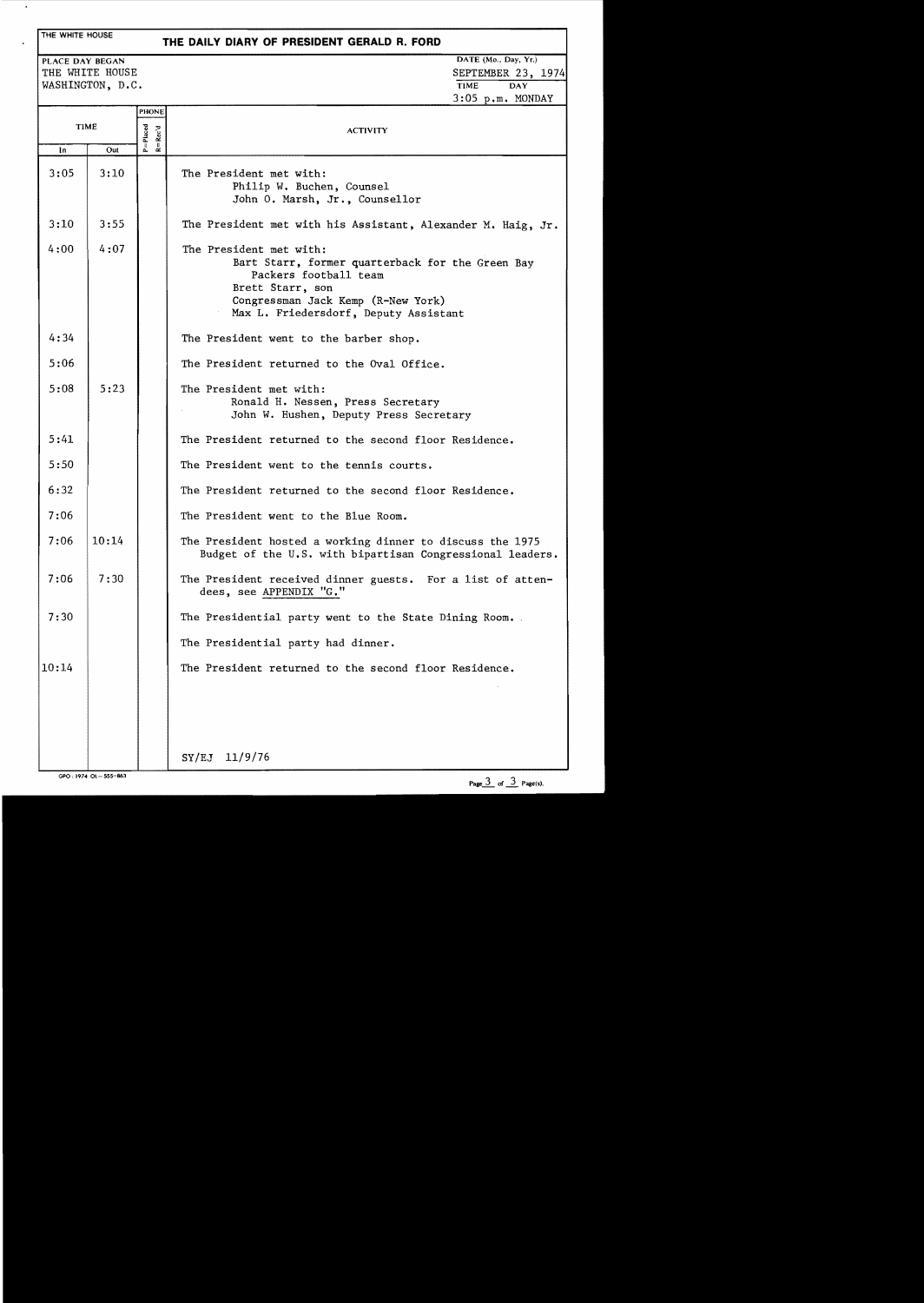### THE WHITE HOUSE

## **THE DAILY DIARY OF PRESIDENT GERALD R. FORD**

PLACE DAY BEGAN THE WHITE HOUSE WASHINGTON, D.C. DATE (Mo., Day, Yr.) SEPTEMBER 23, 1974  $\overline{\text{TIME}}$ 3:05 p.m. MONDAY Placed<br>Placed<br>- Rec'd TIME  $\begin{array}{|c|c|c|}\n\hline\n\text{In} & \text{Out} & \overset{\text{d}}{\text{h}} & \overset{\text{d}}{\text{c}} & \overset{\text{d}}{\text{c}} \\
\hline\n\text{In} & \text{Out} & \overset{\text{d}}{\text{h}} & \overset{\text{d}}{\text{e}} & \overset{\text{d}}{\text{c}}\n\end{array}$  $3:05$  3:10 3:10 3:55  $4:00$  4:07 4:34 5:06  $5:08$  5:23 5:41 5:50 6:32 7:06  $7:06$  | 10:14  $7:06$  7:30 7:30 10:14 ACTIVITY The President met with: Philip W. Buchen, Counsel John O. Marsh, Jr., Counsellor The President met with his Assistant, Alexander M. Haig, Jr. The President met with: Bart Starr, former quarterback for the Green Bay Packers football team Brett Starr, son Congressman Jack Kemp (R-New York) Max L. Friedersdorf, Deputy Assistant The President went to the barber shop. The President returned to the Oval Office. The President met with: Ronald H. Nessen, Press Secretary John W. Hushen, Deputy Press Secretary The President returned to the second floor Residence. The President went to the tennis courts. The President returned to the second floor Residence. The President went to the Blue Room. The President hosted a working dinner to discuss the 1975 Budget of the U.S. with bipartisan Congressional leaders. The President received dinner guests. For a list of attendees, see APPENDIX "G." The Presidential party went to the State Dining Room. The Presidential party had dinner. The President returned to the second floor Residence. SY/EJ 11/9/76

GPO: 1974 OL-555-863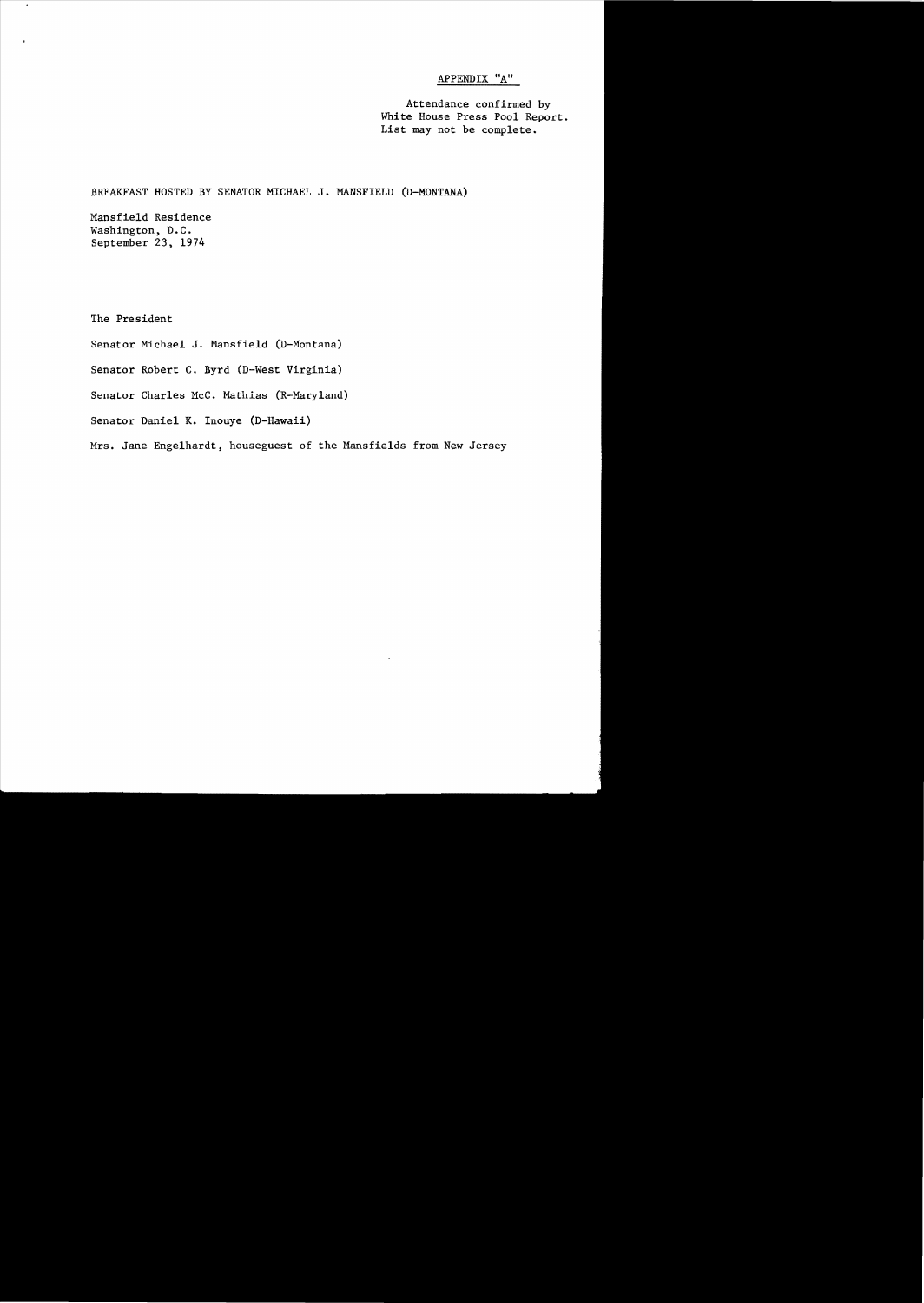# APPENDIX "A"

Attendance confirmed by White House Press Pool Report. List may not be complete.

BREAKFAST HOSTED BY SENATOR MICHAEL **J.** MANSFIELD (D-MONTANA)

Mansfield Residence Washington, D.C. September 23, 1974

The President

Senator Michael **J.** Mansfield (D-Montana)

Senator Robert C. Byrd (D-West Virginia)

Senator Charles McC. Mathias (R-Mary1and)

Senator Daniel K. Inouye (D-Hawaii)

Mrs. Jane Engelhardt, houseguest of the Mansfie1ds from New Jersey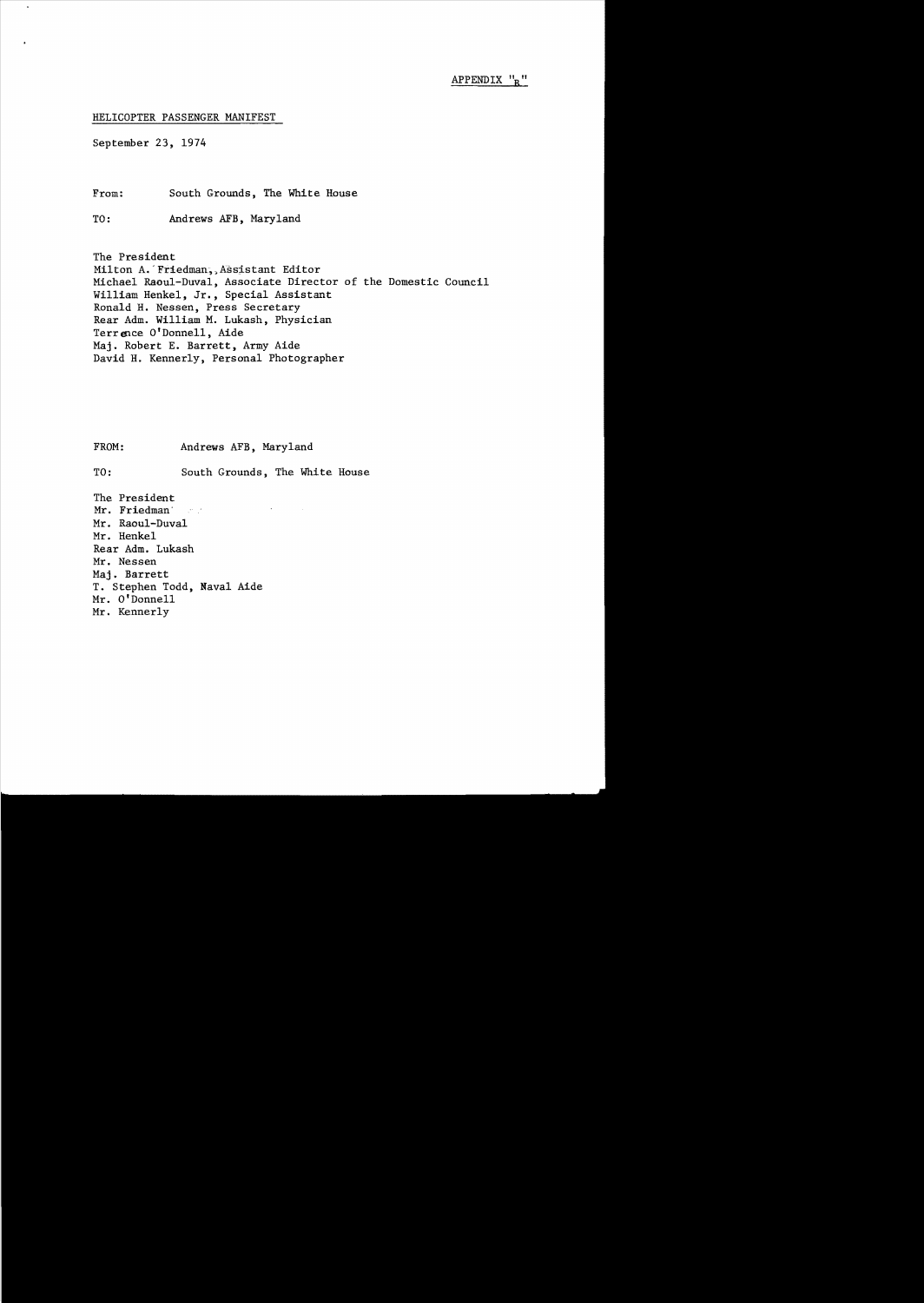HELICOPTER PASSENGER MANIFEST

September 23, 1974

From: South Grounds, The White House

TO: Andrews AFB, Maryland

The President Milton A.' Friedman,) Assistant Editor Michael Raoul-Duval, Associate Director of the Domestic Council William Henkel, Jr., Special Assistant Ronald H. Nessen, Press Secretary Rear Adm. William M. Lukash, Physician Terrence O'Donnell, Aide Maj. Robert E. Barrett, Army Aide David H. Kennerly, Personal Photographer

FROM: Andrews AFB, Maryland

TO: South Grounds, The White House

The President<br>Mr. Friedman Mr. Friedman' Mr. Raoul-Duval Mr. Henkel Rear Adm. Lukash Mr. Nessen Maj. Barrett T. Stephen Todd, Naval Aide Mr. O'Donnell Mr. Kennerly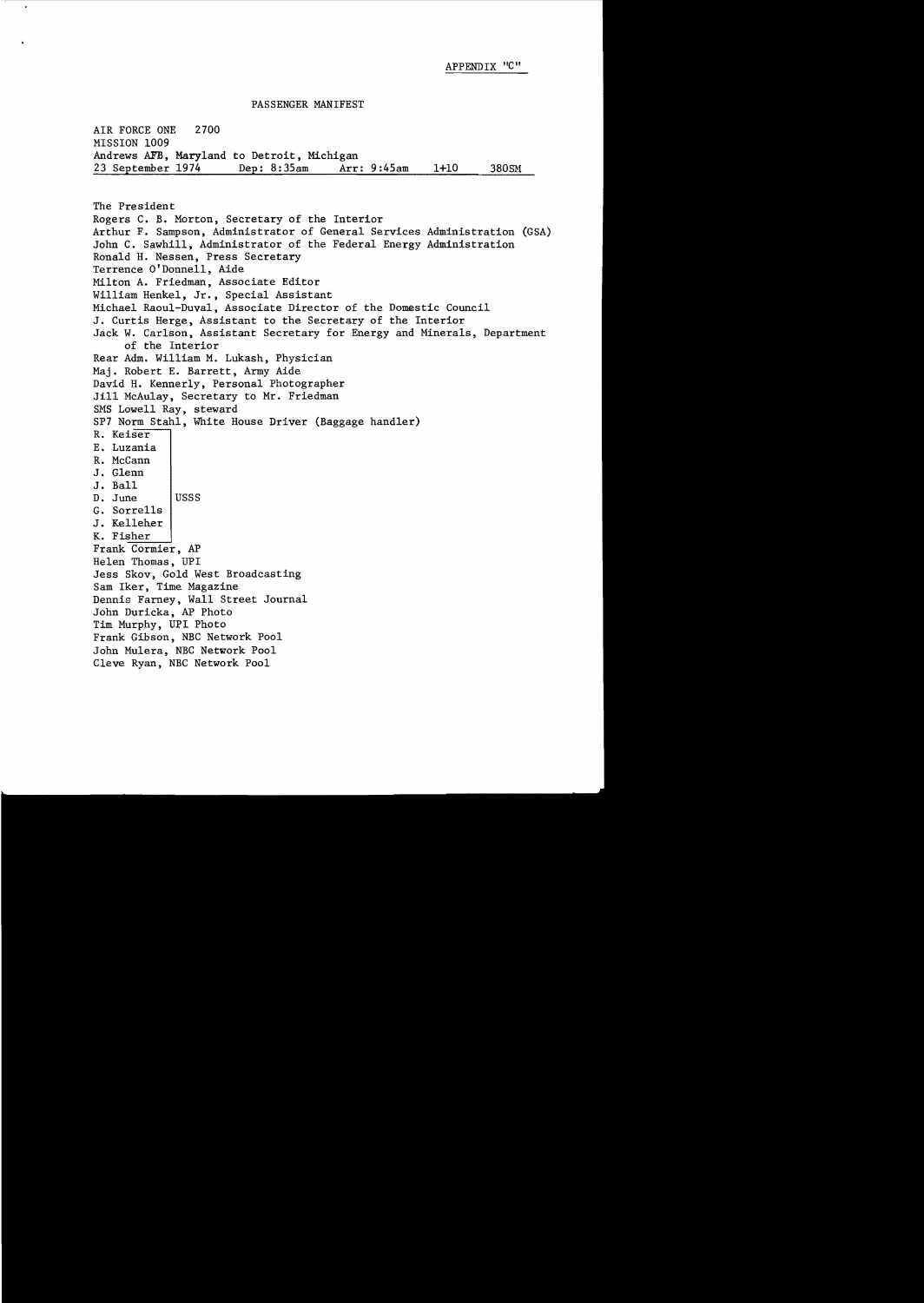#### PASSENGER MANIFEST

AIR FORCE ONE 2700 MISSION 1009 Andrews AFB, Maryland to Detroit, Michigan<br>23 September 1974 Dep: 8:35am Arr: 9:45am 23 September 1974 Dep: 8:35am Arr: 9:45am 1+10 380SM

The President Rogers C. B. Morton, Secretary of the Interior Arthur F. Sampson, Administrator of General Services Administration (GSA) John C. Sawhill, Administrator of the Federal Energy Administration Ronald H. Nessen, Press Secretary Terrence O'Donnell, Aide Milton A. Friedman, Associate Editor William Henkel, Jr., Special Assistant Michael Raoul-Duval, Associate Director of the Domestic Council J. Curtis Herge, Assistant to the Secretary of the Interior Jack W. Carlson, Assistant Secretary for Energy and Minerals, Department of the Interior Rear Adm. William M. Lukash, Physician Maj. Robert E. Barrett, Army Aide David H. Kennerly, Personal Photographer Jill McAulay, Secretary to Mr. Friedman SMS Lowell Ray, steward SP7 Norm Stahl, White House Driver (Baggage handler) R. Keiser E. Luzania R. McCann J. Glenn J. Ball D. June | USSS G. Sorrells J. Kelleher K. Fisher Frank Cormier, AP Helen Thomas, UPI Jess Skov, Gold West Broadcasting Sam Iker, Time Magazine Dennis Farney, Wall Street Journal John Duricka, AP Photo Tim Murphy, UPl Photo Frank Gibson, NBC Network Pool John Mulera, NBC Network Pool Cleve Ryan, NBC Network Pool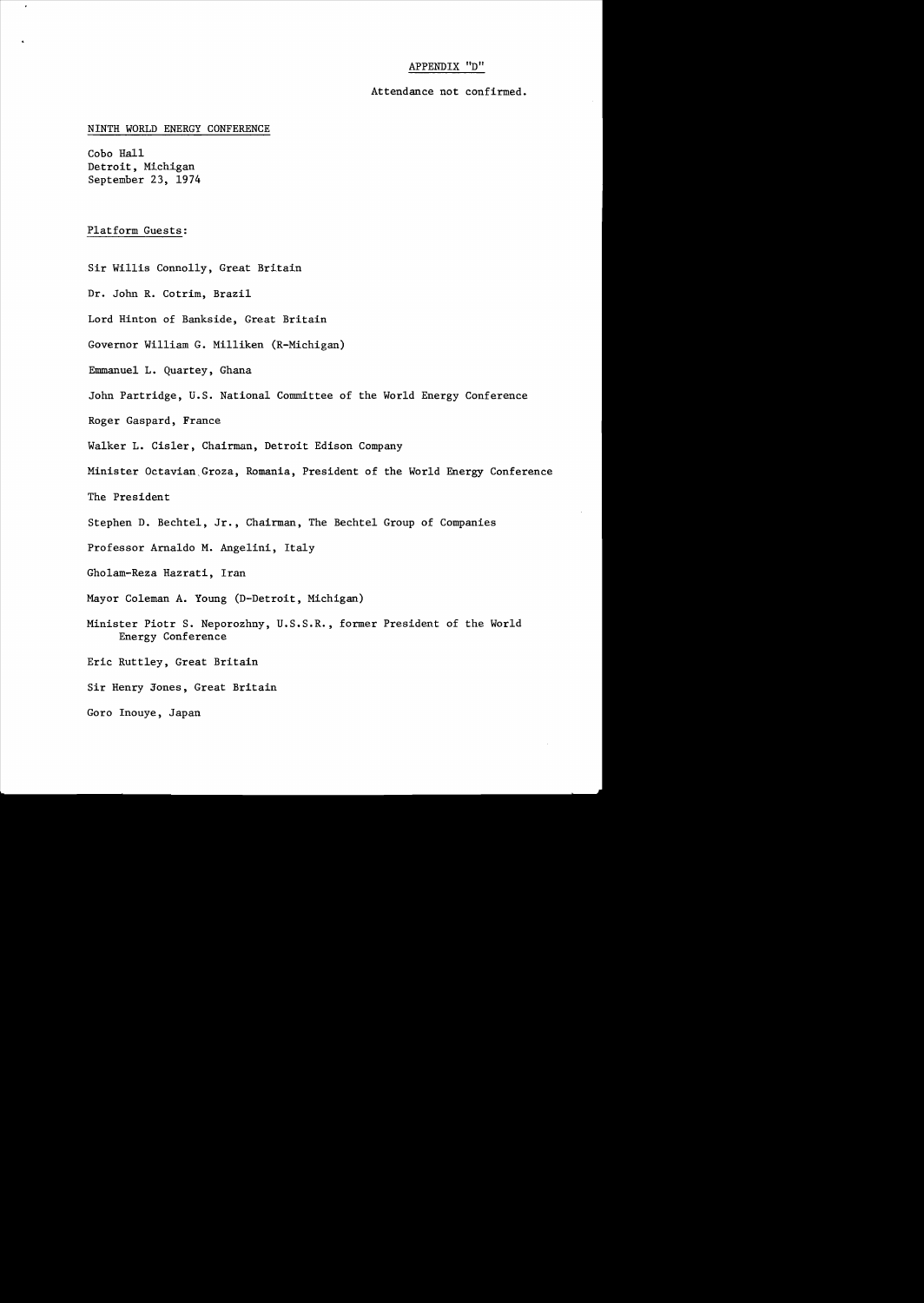# APPENDIX "D"

### Attendance not confirmed.

### NINTH WORLD ENERGY CONFERENCE

Cobo Hall Detroit, Michigan September 23, 1974

### Platform Guests:

Sir Willis Connolly, Great Britain

Dr. John R. Cotrim, Brazil

Lord Hinton of Bankside, Great Britain

Governor William G. Milliken (R-Michigan)

Emmanuel L. Quartey, Ghana

John Partridge, u.S. National Committee of the World Energy Conference

Roger Gaspard, France

Walker L. Cisler, Chairman, Detroit Edison Company

Minister Octavian Groza, Romania, President of the World Energy Conference

The President

Stephen D. Bechtel, Jr., Chairman, The Bechtel Group of Companies

Professor Arna1do M. Angelini, Italy

Gho1am-Reza Hazrati, Iran

Mayor Coleman A. Young (D-Detroit, Michigan)

Minister Piotr S. Neporozhny, U.S.S.R., former President of the World Energy Conference

Eric Rutt1ey, Great Britain

Sir Henry Jones, Great Britain

Goro Inouye, Japan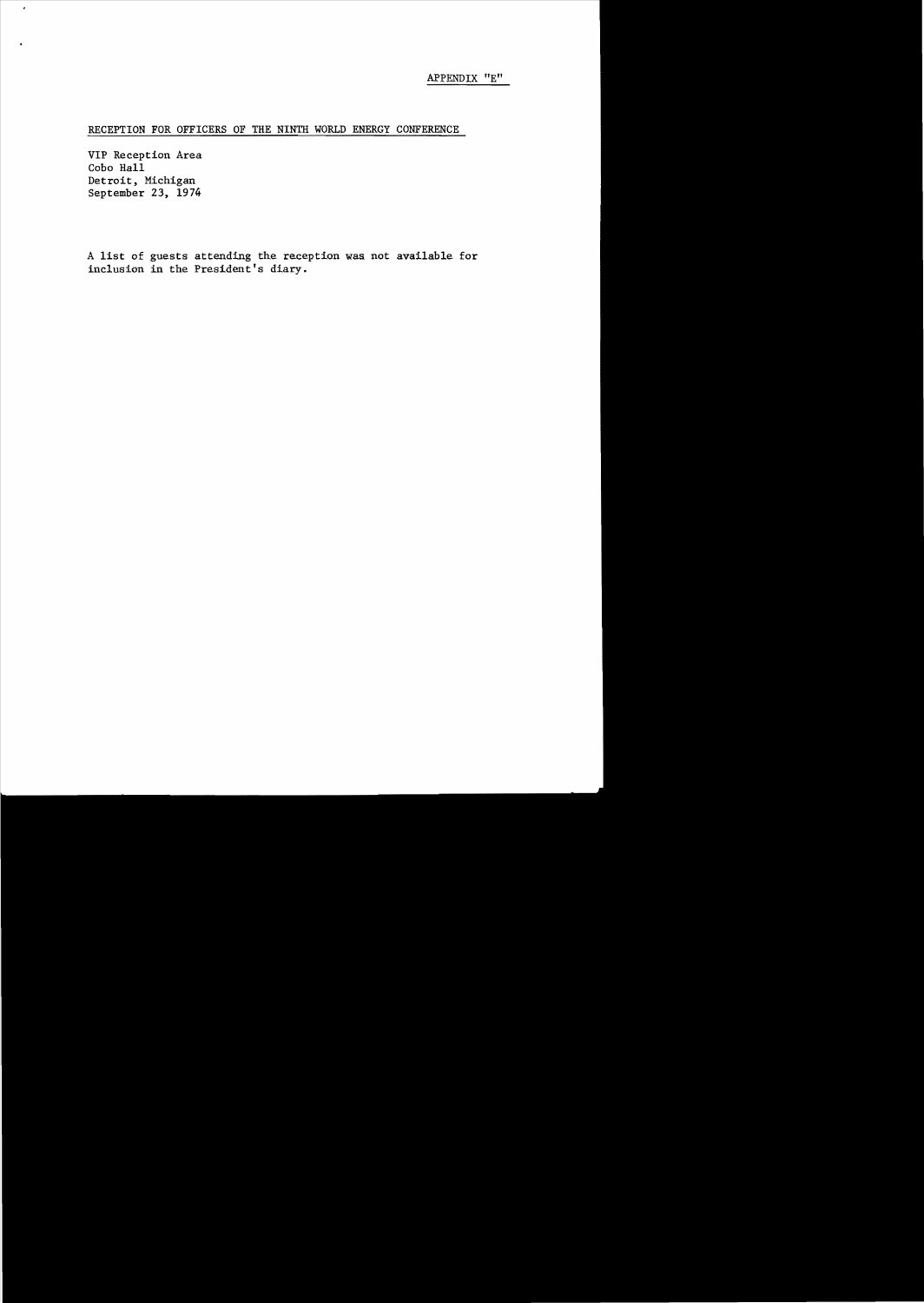# RECEPTION FOR OFFICERS OF THE NINTH WORLD ENERGY CONFERENCE

VIP Reception Area Cobo Hall Detroit, Michigan September 23, 1974

 $\epsilon$ 

A list of guests attending the reception was not available for inclusion in the President's diary.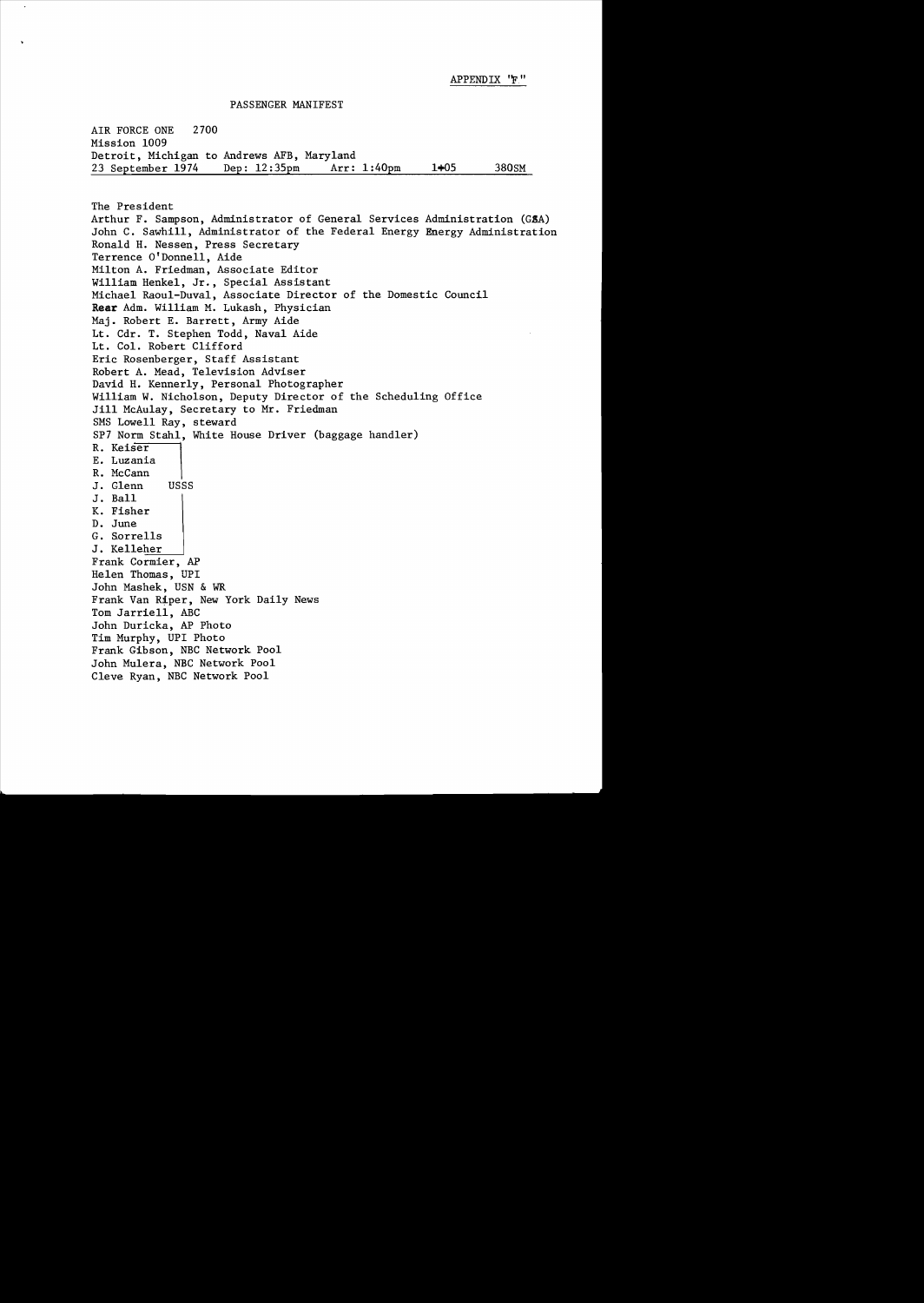APPENDIX ''F''

PASSENGER MANIFEST

AIR FORCE ONE 2700 Mission 1009 Detroit, Michigan to Andrews AFB, Maryland<br>23 September 1974 Dep: 12:35pm Arr: 1:40pm 23 September 1974 Dep: l2:35pm Arr: 1:40pm 1+05 380SM

The President Arthur F. Sampson, Administrator of General Services Administration (GSA) John C. Sawhill, Administrator of the Federal Energy Energy Administration Ronald H. Nessen, Press Secretary Terrence O'Donnell, Aide Milton A. Friedman, Associate Editor William Henkel, Jr., Special Assistant Michael Raoul-Duval, Associate Director of the Domestic Council Rear Adm. William M. Lukash, Physician Maj. Robert E. Barrett, Army Aide Lt. Cdr. T. Stephen Todd, Naval Aide Lt. Col. Robert Clifford Eric Rosenberger, Staff Assistant Robert A. Mead, Television Adviser David H. Kennerly, Personal Photographer William W. Nicholson, Deputy Director of the Scheduling Office Jill McAulay, Secretary to Mr. Friedman SMS Lowell Ray, steward SP7 Norm Stahl, White House Driver (baggage handler) R. Keiser E. Luzania R. McCann J. Glenn USSS J. Ball K. Fisher<br>D. June G. Sorrells J. Kelleher Frank Cormier, AP Helen Thomas, UPI John Mashek, USN & WR Frank Van Riper, New York Daily News Tom Jarriell, ABC John Duricka, AP Photo Tim Murphy, UPI Photo Frank Gibson, NBC Network Pool John Mulera, NBC Network Pool Cleve Ryan, NBC Network Pool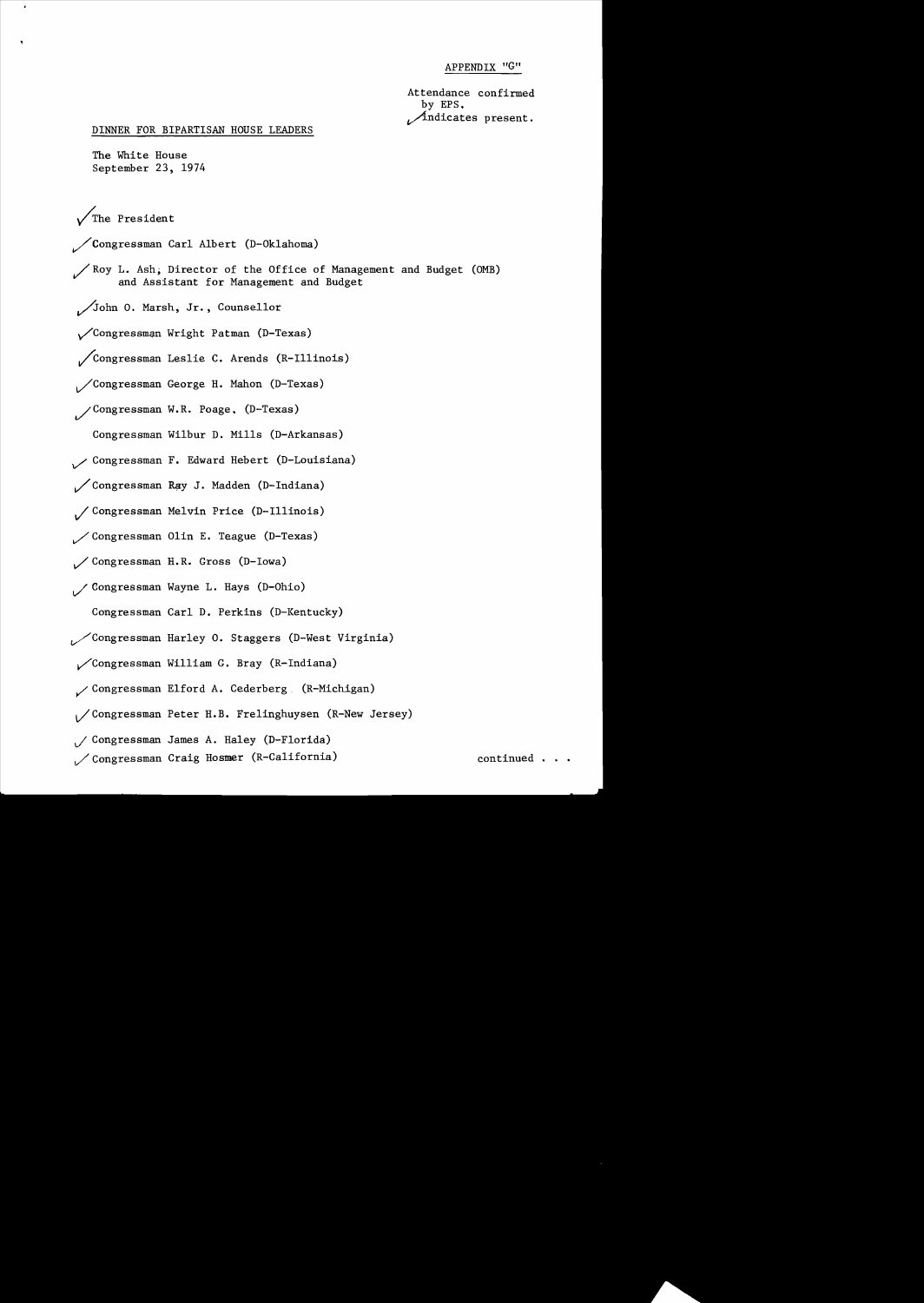APPENDIX "G"

Attendance confirmed by EPS.  $\mathcal{A}$ ndicates present.

DINNER FOR BIPARTISAN HOUSE LEADERS

The White House September 23, 1974

/The President

~Congressman Carl Albert CD-Oklahoma)

~Roy L. Ash; Director of the Office of Management and Budget COMB) and Assistant for Management and Budget

John O. Marsh, Jr., Counsellor

y/Congressman Wright Patman CD-Texas)

~congressman Leslie C. Arends CR-Illinois)

~Congressman George H. Mahon CD-Texas)

/Congressman W.R. Poage, (D-Texas)

Congressman Wilbur D. Mills CD-Arkansas)

*v/* Congressman F. Edward Hebert CD-Louisiana)

~Congressman R?y J. Madden CD-Indiana)

~Congressman Melvin Price CD-Illinois)

 $\angle$  Congressman Olin E. Teague (D-Texas)

Congressman H. R. Gross CD-Iowa)

/ Congressman Wayne L. Hays (D-Ohio)

Congressman Carl D. Perkins (D-Kentucky)

- ~Congressman Harley O. Staggers CD-West Virginia)
- ~Congressman William G. Bray CR-Indiana)
- ~Congressman Elford A. Cederberg. CR-Michigan)
- v/Congressman Peter H.B. Frelinghuysen CR-New Jersey)
- *vi* Congressman James A. Haley CD-Florida)
- ~Congressman Craig Hosmer CR-California) continued ...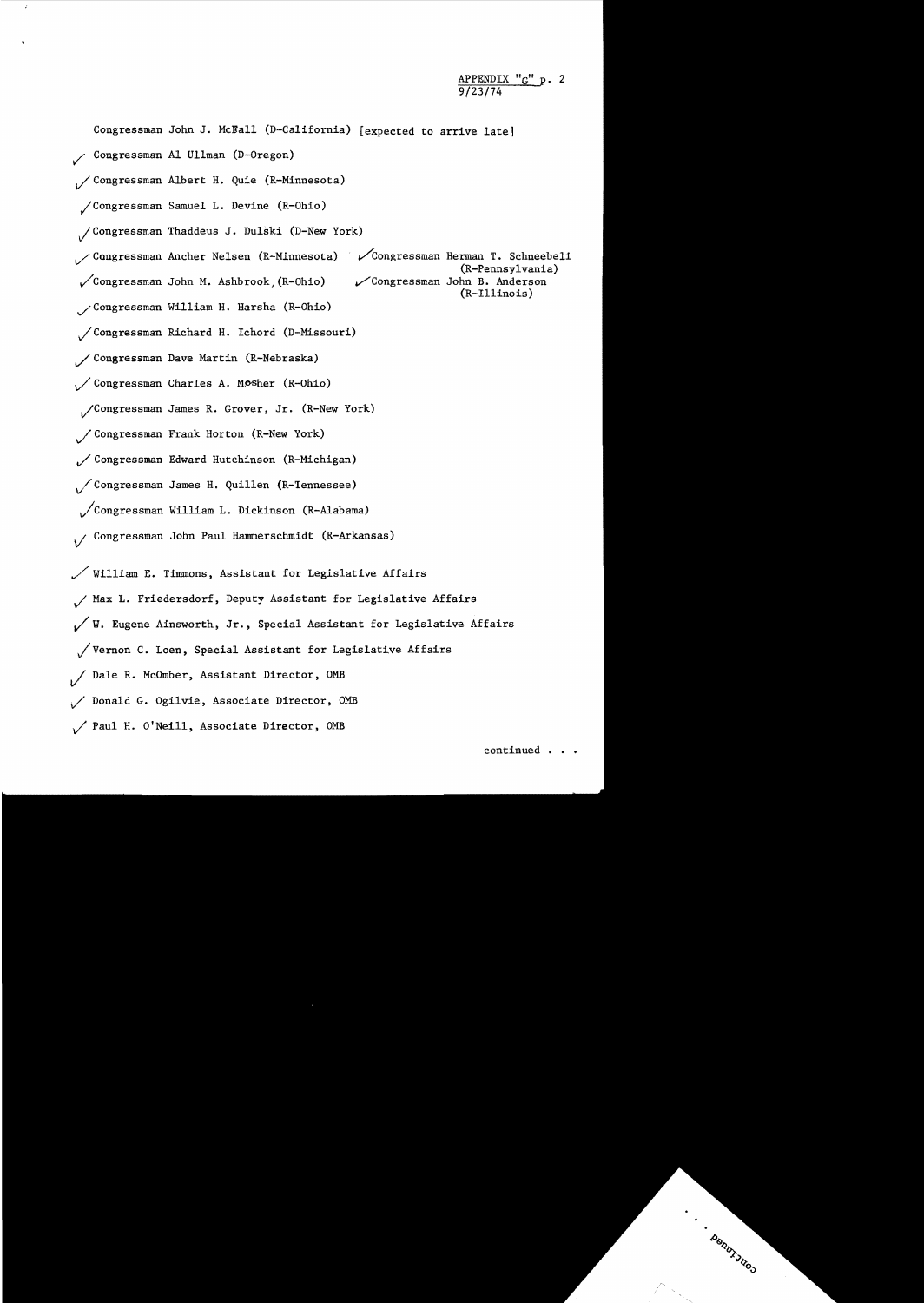9/23/74 Congressman John J. McEa11 (D-California) [expected to arrive late] ~ Congressman Al Ullman (D-Oregon) *V* Congressman Albert H. Quie (R-Minnesota) yiCongressman Samuel L. Devine (R-Ohio) vlCongressman Thaddeus J. Dulski (D-New York)  $\mathcal{S}$ Congressman Ancher Nelsen (R-Minnesota)  $\mathscr{S}$ Congressman Herman T. Schneebeli (R-Pennsylvania)<br>Congressman John B. Anderson  $\mathcal{L}$ Congressman John M. Ashbrook (R-Ohio) (R-I1linois) ~Congressman William H. Harsha (R-Ohio) vlCongressman Richard H. Ichord (D-Missouri) / Congressman Dave Martin (R-Nebraska) / Congressman Charles A. Mosher (R-Ohio) vlCongressman James R. Grover, Jr. (R-New York) / Congressman Frank Horton (R-New York) ~Congressman Edward Hutchinson (R-Michigan) v/Congressman James H. Quillen (R-Tennessee) ~congressman William L. Dickinson (R-Alabama) *vi* Congressman John Paul Hammerschmidt (R-Arkansas)  $\mathcal N$  William E. Timmons, Assistant for Legislative Affairs ~ Max L. Friedersdorf, Deputy Assistant for Legislative Affairs  $\sqrt{W}$ . Eugene Ainsworth, Jr., Special Assistant for Legislative Affairs Vernon C. Loen, Special Assistant for Legislative Affairs *vi* Dale R. McOmber, Assistant Director, OMB ~ Donald G. Ogilvie, Associate Director, OMB Paul H. O'Neill, Associate Director, OMB

APPENDIX "G" p. 2